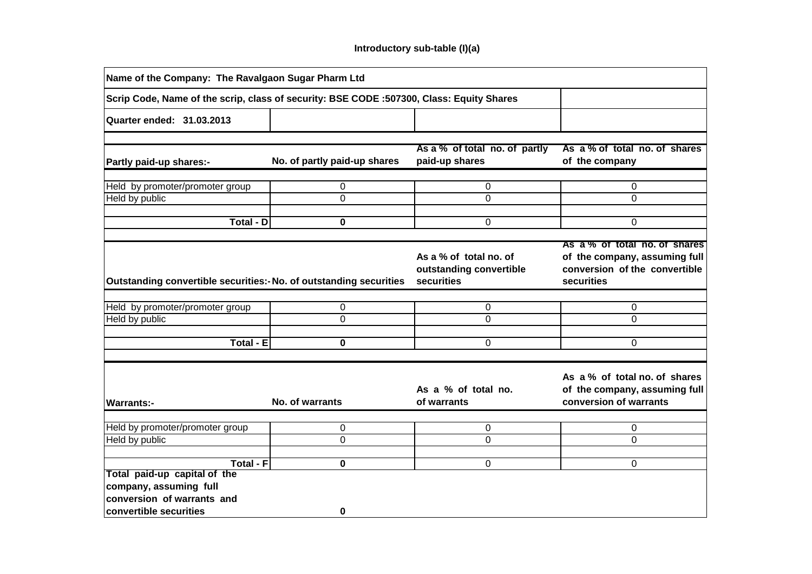| Name of the Company: The Ravalgaon Sugar Pharm Ltd                                       |                              |                                                                 |                                                                                                               |  |  |  |  |  |  |
|------------------------------------------------------------------------------------------|------------------------------|-----------------------------------------------------------------|---------------------------------------------------------------------------------------------------------------|--|--|--|--|--|--|
| Scrip Code, Name of the scrip, class of security: BSE CODE :507300, Class: Equity Shares |                              |                                                                 |                                                                                                               |  |  |  |  |  |  |
| <b>Quarter ended: 31.03.2013</b>                                                         |                              |                                                                 |                                                                                                               |  |  |  |  |  |  |
|                                                                                          |                              |                                                                 |                                                                                                               |  |  |  |  |  |  |
| Partly paid-up shares:-                                                                  | No. of partly paid-up shares | As a % of total no. of partly<br>paid-up shares                 | As a % of total no. of shares<br>of the company                                                               |  |  |  |  |  |  |
|                                                                                          |                              |                                                                 |                                                                                                               |  |  |  |  |  |  |
| Held by promoter/promoter group                                                          | 0                            | 0                                                               | 0                                                                                                             |  |  |  |  |  |  |
| Held by public                                                                           | $\Omega$                     | 0                                                               | 0                                                                                                             |  |  |  |  |  |  |
| <b>Total - D</b>                                                                         | 0                            | 0                                                               | $\Omega$                                                                                                      |  |  |  |  |  |  |
|                                                                                          |                              |                                                                 |                                                                                                               |  |  |  |  |  |  |
| Outstanding convertible securities: No. of outstanding securities                        |                              | As a % of total no. of<br>outstanding convertible<br>securities | As a % of total no. of shares<br>of the company, assuming full<br>conversion of the convertible<br>securities |  |  |  |  |  |  |
|                                                                                          |                              |                                                                 |                                                                                                               |  |  |  |  |  |  |
| Held by promoter/promoter group                                                          | 0                            | 0                                                               | 0                                                                                                             |  |  |  |  |  |  |
| Held by public                                                                           | $\Omega$                     | $\Omega$                                                        | $\Omega$                                                                                                      |  |  |  |  |  |  |
|                                                                                          |                              |                                                                 |                                                                                                               |  |  |  |  |  |  |
| Total - E                                                                                | $\bf{0}$                     | $\Omega$                                                        | $\Omega$                                                                                                      |  |  |  |  |  |  |
|                                                                                          |                              |                                                                 |                                                                                                               |  |  |  |  |  |  |
| <b>Warrants:-</b>                                                                        | No. of warrants              | As a % of total no.<br>of warrants                              | As a % of total no. of shares<br>of the company, assuming full<br>conversion of warrants                      |  |  |  |  |  |  |
|                                                                                          |                              |                                                                 |                                                                                                               |  |  |  |  |  |  |
| Held by promoter/promoter group                                                          | 0                            | 0                                                               | 0                                                                                                             |  |  |  |  |  |  |
| Held by public                                                                           | $\overline{0}$               | $\overline{0}$                                                  | $\mathbf 0$                                                                                                   |  |  |  |  |  |  |
|                                                                                          |                              |                                                                 |                                                                                                               |  |  |  |  |  |  |
| <b>Total - F</b><br>Total paid-up capital of the                                         | 0                            | 0                                                               | 0                                                                                                             |  |  |  |  |  |  |
| company, assuming full                                                                   |                              |                                                                 |                                                                                                               |  |  |  |  |  |  |
| conversion of warrants and<br>convertible securities                                     | 0                            |                                                                 |                                                                                                               |  |  |  |  |  |  |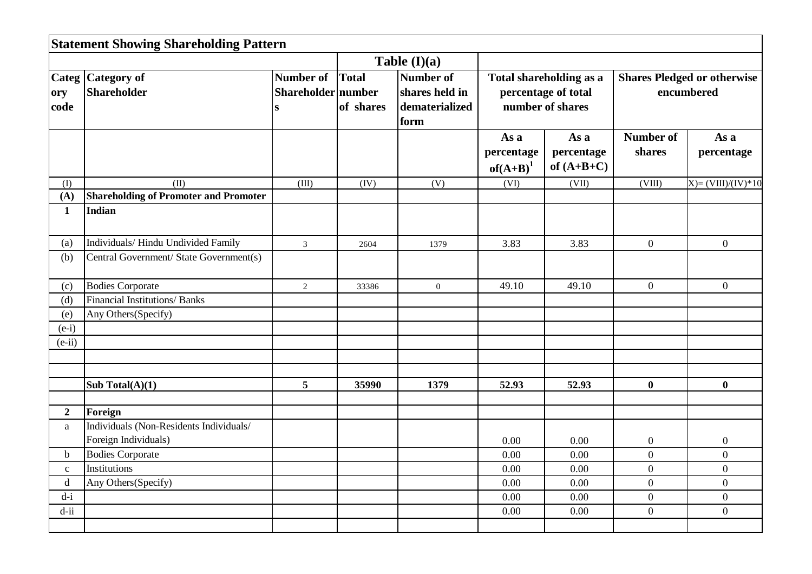|                | <b>Statement Showing Shareholding Pattern</b> |                                       |           |                                                       |                                                                    |                                    |                                                  |                     |  |
|----------------|-----------------------------------------------|---------------------------------------|-----------|-------------------------------------------------------|--------------------------------------------------------------------|------------------------------------|--------------------------------------------------|---------------------|--|
|                |                                               |                                       |           | Table $(I)(a)$                                        |                                                                    |                                    |                                                  |                     |  |
| ory<br>code    | Categ Category of<br><b>Shareholder</b>       | Number of Total<br>Shareholder number | of shares | Number of<br>shares held in<br>dematerialized<br>form | Total shareholding as a<br>percentage of total<br>number of shares |                                    | <b>Shares Pledged or otherwise</b><br>encumbered |                     |  |
|                |                                               |                                       |           |                                                       | As a<br>percentage<br>of $(A+B)^1$                                 | As a<br>percentage<br>of $(A+B+C)$ | <b>Number of</b><br>shares                       | As a<br>percentage  |  |
| (I)            | (II)                                          | (III)                                 | (IV)      | (V)                                                   | (VI)                                                               | (VII)                              | (VIII)                                           | $X)=(VIII)/(IV)*10$ |  |
| (A)            | <b>Shareholding of Promoter and Promoter</b>  |                                       |           |                                                       |                                                                    |                                    |                                                  |                     |  |
| $\mathbf{1}$   | Indian                                        |                                       |           |                                                       |                                                                    |                                    |                                                  |                     |  |
| (a)            | Individuals/ Hindu Undivided Family           | $\overline{3}$                        | 2604      | 1379                                                  | 3.83                                                               | 3.83                               | $\boldsymbol{0}$                                 | $\overline{0}$      |  |
| (b)            | Central Government/ State Government(s)       |                                       |           |                                                       |                                                                    |                                    |                                                  |                     |  |
| (c)            | <b>Bodies Corporate</b>                       | $\overline{2}$                        | 33386     | $\boldsymbol{0}$                                      | 49.10                                                              | 49.10                              | $\overline{0}$                                   | $\overline{0}$      |  |
| (d)            | Financial Institutions/ Banks                 |                                       |           |                                                       |                                                                    |                                    |                                                  |                     |  |
| (e)            | Any Others(Specify)                           |                                       |           |                                                       |                                                                    |                                    |                                                  |                     |  |
| $(e-i)$        |                                               |                                       |           |                                                       |                                                                    |                                    |                                                  |                     |  |
| $(e-ii)$       |                                               |                                       |           |                                                       |                                                                    |                                    |                                                  |                     |  |
|                |                                               |                                       |           |                                                       |                                                                    |                                    |                                                  |                     |  |
|                | Sub Total $(A)(1)$                            | 5                                     | 35990     | 1379                                                  | 52.93                                                              | 52.93                              | $\bf{0}$                                         | $\bf{0}$            |  |
| $\overline{2}$ | Foreign                                       |                                       |           |                                                       |                                                                    |                                    |                                                  |                     |  |
| a              | Individuals (Non-Residents Individuals/       |                                       |           |                                                       |                                                                    |                                    |                                                  |                     |  |
|                | Foreign Individuals)                          |                                       |           |                                                       | 0.00                                                               | 0.00                               | $\boldsymbol{0}$                                 | $\boldsymbol{0}$    |  |
| $\mathbf b$    | <b>Bodies Corporate</b>                       |                                       |           |                                                       | 0.00                                                               | 0.00                               | $\overline{0}$                                   | $\overline{0}$      |  |
| $\mathbf{c}$   | Institutions                                  |                                       |           |                                                       | 0.00                                                               | 0.00                               | $\boldsymbol{0}$                                 | $\overline{0}$      |  |
| $\mathbf d$    | Any Others(Specify)                           |                                       |           |                                                       | 0.00                                                               | 0.00                               | $\mathbf{0}$                                     | $\overline{0}$      |  |
| $d-i$          |                                               |                                       |           |                                                       | 0.00                                                               | 0.00                               | $\boldsymbol{0}$                                 | $\overline{0}$      |  |
| $d$ -ii        |                                               |                                       |           |                                                       | 0.00                                                               | 0.00                               | $\overline{0}$                                   | $\overline{0}$      |  |
|                |                                               |                                       |           |                                                       |                                                                    |                                    |                                                  |                     |  |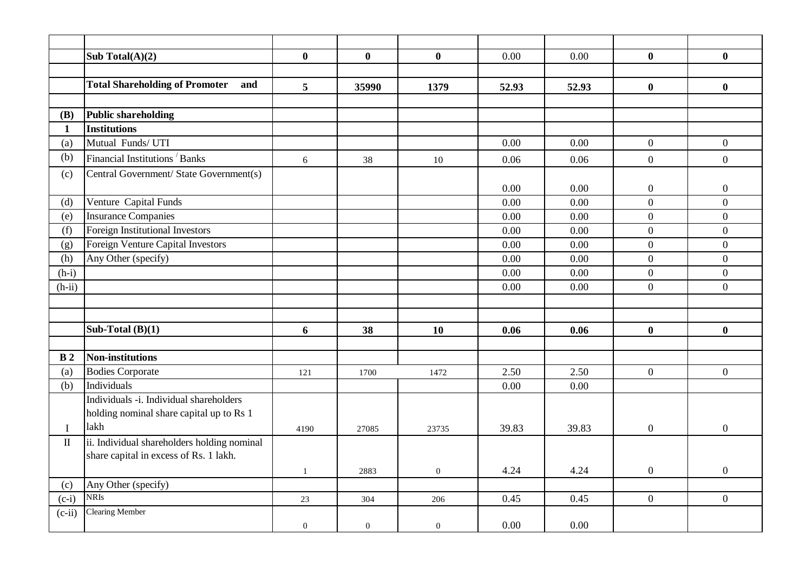|                | Sub Total $(A)(2)$                           | $\mathbf{0}$   | $\bf{0}$         | $\bf{0}$         | 0.00  | 0.00  | $\mathbf{0}$     | $\bf{0}$         |
|----------------|----------------------------------------------|----------------|------------------|------------------|-------|-------|------------------|------------------|
|                |                                              |                |                  |                  |       |       |                  |                  |
|                | <b>Total Shareholding of Promoter</b><br>and | 5              | 35990            | 1379             | 52.93 | 52.93 | $\bf{0}$         | $\bf{0}$         |
|                |                                              |                |                  |                  |       |       |                  |                  |
| (B)            | <b>Public shareholding</b>                   |                |                  |                  |       |       |                  |                  |
| 1              | <b>Institutions</b>                          |                |                  |                  |       |       |                  |                  |
| (a)            | Mutual Funds/UTI                             |                |                  |                  | 0.00  | 0.00  | $\overline{0}$   | $\boldsymbol{0}$ |
| (b)            | Financial Institutions <sup>/</sup> Banks    | 6              | 38               | 10               | 0.06  | 0.06  | $\overline{0}$   | $\overline{0}$   |
| (c)            | Central Government/ State Government(s)      |                |                  |                  |       |       |                  |                  |
|                |                                              |                |                  |                  | 0.00  | 0.00  | $\boldsymbol{0}$ | $\boldsymbol{0}$ |
| (d)            | Venture Capital Funds                        |                |                  |                  | 0.00  | 0.00  | $\overline{0}$   | $\mathbf{0}$     |
| (e)            | <b>Insurance Companies</b>                   |                |                  |                  | 0.00  | 0.00  | $\overline{0}$   | $\boldsymbol{0}$ |
| (f)            | Foreign Institutional Investors              |                |                  |                  | 0.00  | 0.00  | $\overline{0}$   | $\overline{0}$   |
| (g)            | Foreign Venture Capital Investors            |                |                  |                  | 0.00  | 0.00  | $\overline{0}$   | $\overline{0}$   |
| (h)            | Any Other (specify)                          |                |                  |                  | 0.00  | 0.00  | $\overline{0}$   | $\overline{0}$   |
| $(h-i)$        |                                              |                |                  |                  | 0.00  | 0.00  | $\overline{0}$   | $\mathbf{0}$     |
| $(h-ii)$       |                                              |                |                  |                  | 0.00  | 0.00  | $\overline{0}$   | $\overline{0}$   |
|                |                                              |                |                  |                  |       |       |                  |                  |
|                |                                              |                |                  |                  |       |       |                  |                  |
|                | Sub-Total $(B)(1)$                           | 6              | 38               | 10               | 0.06  | 0.06  | $\bf{0}$         | $\bf{0}$         |
|                |                                              |                |                  |                  |       |       |                  |                  |
| B <sub>2</sub> | <b>Non-institutions</b>                      |                |                  |                  |       |       |                  |                  |
| (a)            | <b>Bodies Corporate</b>                      | 121            | 1700             | 1472             | 2.50  | 2.50  | $\overline{0}$   | $\overline{0}$   |
| (b)            | Individuals                                  |                |                  |                  | 0.00  | 0.00  |                  |                  |
|                | Individuals -i. Individual shareholders      |                |                  |                  |       |       |                  |                  |
|                | holding nominal share capital up to Rs 1     |                |                  |                  |       |       |                  |                  |
| $\bf{I}$       | lakh                                         | 4190           | 27085            | 23735            | 39.83 | 39.83 | $\boldsymbol{0}$ | $\overline{0}$   |
| $\rm II$       | ii. Individual shareholders holding nominal  |                |                  |                  |       |       |                  |                  |
|                | share capital in excess of Rs. 1 lakh.       |                |                  |                  |       |       |                  |                  |
|                |                                              | $\mathbf{1}$   | 2883             | $\boldsymbol{0}$ | 4.24  | 4.24  | $\boldsymbol{0}$ | $\boldsymbol{0}$ |
| (c)            | Any Other (specify)<br><b>NRIs</b>           |                |                  |                  |       |       |                  |                  |
| $(c-i)$        | <b>Clearing Member</b>                       | 23             | 304              | 206              | 0.45  | 0.45  | $\overline{0}$   | $\overline{0}$   |
| $(c-ii)$       |                                              | $\overline{0}$ | $\boldsymbol{0}$ | $\boldsymbol{0}$ | 0.00  | 0.00  |                  |                  |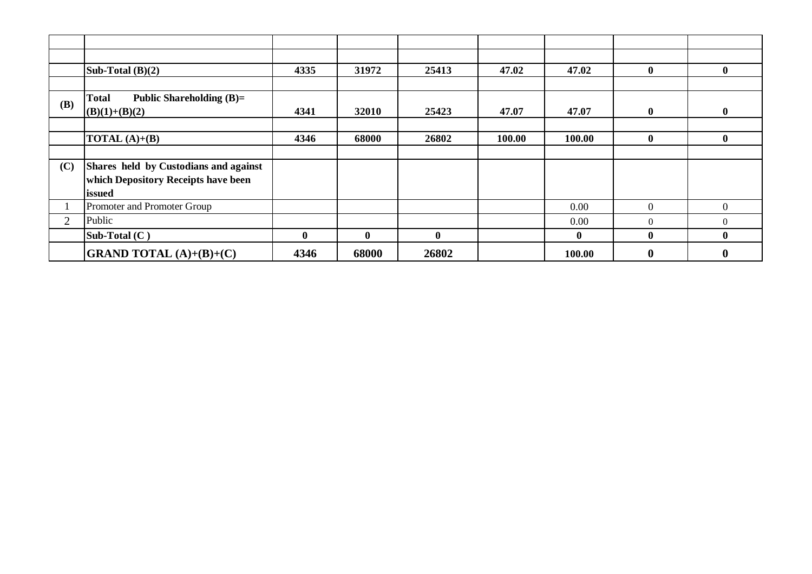|                | Sub-Total $(B)(2)$                         | 4335     | 31972    | 25413    | 47.02  | 47.02    | $\mathbf{0}$ | $\mathbf{0}$     |
|----------------|--------------------------------------------|----------|----------|----------|--------|----------|--------------|------------------|
|                |                                            |          |          |          |        |          |              |                  |
|                | <b>Total</b><br>Public Shareholding $(B)=$ |          |          |          |        |          |              |                  |
| (B)            | $(B)(1)+(B)(2)$                            | 4341     | 32010    | 25423    | 47.07  | 47.07    | $\mathbf{0}$ | $\bf{0}$         |
|                |                                            |          |          |          |        |          |              |                  |
|                | <b>TOTAL</b> $(A)+(B)$                     | 4346     | 68000    | 26802    | 100.00 | 100.00   | $\mathbf{0}$ | $\mathbf{0}$     |
|                |                                            |          |          |          |        |          |              |                  |
| (C)            | Shares held by Custodians and against      |          |          |          |        |          |              |                  |
|                | which Depository Receipts have been        |          |          |          |        |          |              |                  |
|                | issued                                     |          |          |          |        |          |              |                  |
|                | Promoter and Promoter Group                |          |          |          |        | 0.00     | $\Omega$     | $\Omega$         |
| $\overline{2}$ | Public                                     |          |          |          |        | 0.00     | $\Omega$     | $\Omega$         |
|                | Sub-Total (C)                              | $\bf{0}$ | $\bf{0}$ | $\bf{0}$ |        | $\bf{0}$ | $\mathbf{0}$ | $\bf{0}$         |
|                | <b>GRAND TOTAL</b> $(A)+(B)+(C)$           | 4346     | 68000    | 26802    |        | 100.00   | $\mathbf{0}$ | $\boldsymbol{0}$ |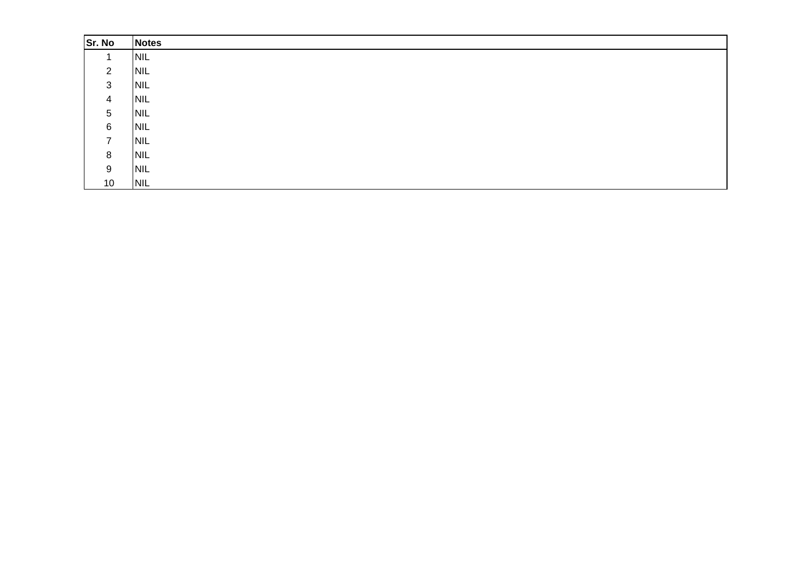| Sr. No         | <b>Notes</b> |
|----------------|--------------|
|                | <b>NIL</b>   |
| $\overline{2}$ | <b>NIL</b>   |
| 3              | <b>NIL</b>   |
| 4              | <b>NIL</b>   |
| 5              | <b>NIL</b>   |
| 6              | <b>NIL</b>   |
| $\mathbf{7}$   | <b>NIL</b>   |
| 8              | <b>NIL</b>   |
| 9              | <b>NIL</b>   |
| 10             | <b>NIL</b>   |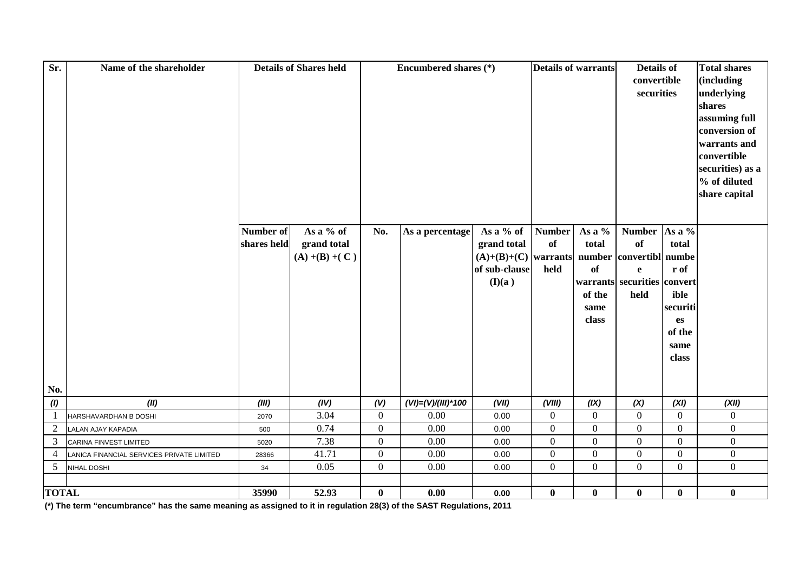| Sr.             | Name of the shareholder                   |                          | <b>Details of Shares held</b> |                | Encumbered shares (*)  |                          | <b>Details of warrants</b> |                  | Details of<br>convertible<br>securities    |                        | <b>Total shares</b><br>(including<br>underlying<br>shares<br>assuming full<br>conversion of<br>warrants and<br>convertible<br>securities) as a<br>% of diluted<br>share capital |
|-----------------|-------------------------------------------|--------------------------|-------------------------------|----------------|------------------------|--------------------------|----------------------------|------------------|--------------------------------------------|------------------------|---------------------------------------------------------------------------------------------------------------------------------------------------------------------------------|
|                 |                                           | Number of<br>shares held | As a % of<br>grand total      | No.            | As a percentage        | As a % of<br>grand total | <b>Number</b><br><b>of</b> | As a %<br>total  | <b>Number</b><br>of                        | As a %<br>total        |                                                                                                                                                                                 |
|                 |                                           |                          | $(A) + (B) + (C)$             |                |                        | $(A)+(B)+(C)$ warrants   |                            |                  | number convertibl numbe                    |                        |                                                                                                                                                                                 |
|                 |                                           |                          |                               |                |                        | of sub-clause            | held                       | <b>of</b>        | $\mathbf e$<br>warrants securities convert | r of                   |                                                                                                                                                                                 |
|                 |                                           |                          |                               |                |                        | (I)(a)                   |                            | of the           | held                                       | ible                   |                                                                                                                                                                                 |
|                 |                                           |                          |                               |                |                        |                          |                            | same             |                                            | securiti               |                                                                                                                                                                                 |
|                 |                                           |                          |                               |                |                        |                          |                            | class            |                                            | $\mathbf{e}\mathbf{s}$ |                                                                                                                                                                                 |
|                 |                                           |                          |                               |                |                        |                          |                            |                  |                                            | of the                 |                                                                                                                                                                                 |
|                 |                                           |                          |                               |                |                        |                          |                            |                  |                                            | same                   |                                                                                                                                                                                 |
|                 |                                           |                          |                               |                |                        |                          |                            |                  |                                            | class                  |                                                                                                                                                                                 |
|                 |                                           |                          |                               |                |                        |                          |                            |                  |                                            |                        |                                                                                                                                                                                 |
| No.             |                                           |                          |                               |                |                        |                          |                            |                  |                                            |                        |                                                                                                                                                                                 |
| (1)             | (II)                                      | (III)                    | (IV)                          | (V)            | $(VI) = (V)/(III)*100$ | (VII)                    | (VIII)                     | (IX)             | (X)                                        | (XI)                   | (XII)                                                                                                                                                                           |
| $\mathbf{1}$    | HARSHAVARDHAN B DOSHI                     | 2070                     | 3.04                          | $\overline{0}$ | 0.00                   | 0.00                     | $\mathbf{0}$               | $\Omega$         | $\theta$                                   | $\Omega$               | $\boldsymbol{0}$                                                                                                                                                                |
| $\sqrt{2}$      | LALAN AJAY KAPADIA                        | 500                      | 0.74                          | $\overline{0}$ | $0.00\,$               | 0.00                     | $\boldsymbol{0}$           | $\boldsymbol{0}$ | $\boldsymbol{0}$                           | $\boldsymbol{0}$       | $\boldsymbol{0}$                                                                                                                                                                |
| 3               | CARINA FINVEST LIMITED                    | 5020                     | 7.38                          | $\overline{0}$ | 0.00                   | 0.00                     | $\mathbf{0}$               | $\boldsymbol{0}$ | $\mathbf{0}$                               | $\boldsymbol{0}$       | $\overline{0}$                                                                                                                                                                  |
| 4               | LANICA FINANCIAL SERVICES PRIVATE LIMITED | 28366                    | 41.71                         | $\overline{0}$ | 0.00                   | 0.00                     | $\mathbf{0}$               | $\overline{0}$   | $\mathbf{0}$                               | $\boldsymbol{0}$       | $\boldsymbol{0}$                                                                                                                                                                |
| $5\overline{)}$ | NIHAL DOSHI                               | 34                       | 0.05                          | $\overline{0}$ | $0.00\,$               | 0.00                     | $\mathbf{0}$               | $\overline{0}$   | $\overline{0}$                             | $\overline{0}$         | $\overline{0}$                                                                                                                                                                  |
| <b>TOTAL</b>    |                                           | 35990                    | 52.93                         |                | 0.00                   | 0.00                     | $\bf{0}$                   | $\mathbf{0}$     | $\bf{0}$                                   | $\bf{0}$               | $\bf{0}$                                                                                                                                                                        |
|                 |                                           |                          |                               | $\mathbf{0}$   |                        |                          |                            |                  |                                            |                        |                                                                                                                                                                                 |

**(\*) The term "encumbrance" has the same meaning as assigned to it in regulation 28(3) of the SAST Regulations, 2011**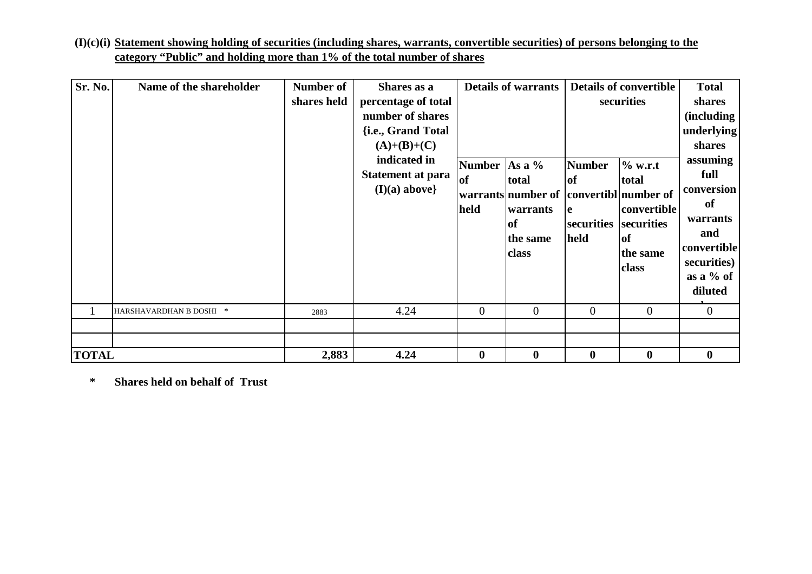| $(I)(c)(i)$ Statement showing holding of securities (including shares, warrants, convertible securities) of persons belonging to the |  |
|--------------------------------------------------------------------------------------------------------------------------------------|--|
| category "Public" and holding more than 1% of the total number of shares                                                             |  |

| Sr. No.      | Name of the shareholder | Number of   | <b>Details of warrants</b><br>Shares as a                                                                                                     |                             |                                                                                                     | <b>Details of convertible</b>                           | <b>Total</b>                                                                                  |                                                                                                                                                                 |
|--------------|-------------------------|-------------|-----------------------------------------------------------------------------------------------------------------------------------------------|-----------------------------|-----------------------------------------------------------------------------------------------------|---------------------------------------------------------|-----------------------------------------------------------------------------------------------|-----------------------------------------------------------------------------------------------------------------------------------------------------------------|
|              |                         | shares held | percentage of total<br>number of shares<br>{i.e., Grand Total<br>$(A)+(B)+(C)$<br>indicated in<br><b>Statement at para</b><br>$(I)(a)$ above} | <b>Number</b><br>of<br>held | As a $%$<br>total<br>warrants number of convertibl number of<br>warrants<br>of<br>the same<br>class | <b>Number</b><br><b>of</b><br>le.<br>securities<br>held | securities<br>% w.r.t<br>total<br>convertible<br>securities<br><b>of</b><br>the same<br>class | shares<br>(including<br>underlying<br>shares<br>assuming<br>full<br>conversion<br>of<br>warrants<br>and<br>convertible<br>securities)<br>as a $%$ of<br>diluted |
|              | HARSHAVARDHAN B DOSHI * | 2883        | 4.24                                                                                                                                          | $\theta$                    | $\overline{0}$                                                                                      | $\overline{0}$                                          | $\Omega$                                                                                      | $\overline{0}$                                                                                                                                                  |
| <b>TOTAL</b> |                         | 2,883       | 4.24                                                                                                                                          | $\bf{0}$                    | $\boldsymbol{0}$                                                                                    | $\bf{0}$                                                | $\bf{0}$                                                                                      | $\boldsymbol{0}$                                                                                                                                                |

**\* Shares held on behalf of Trust**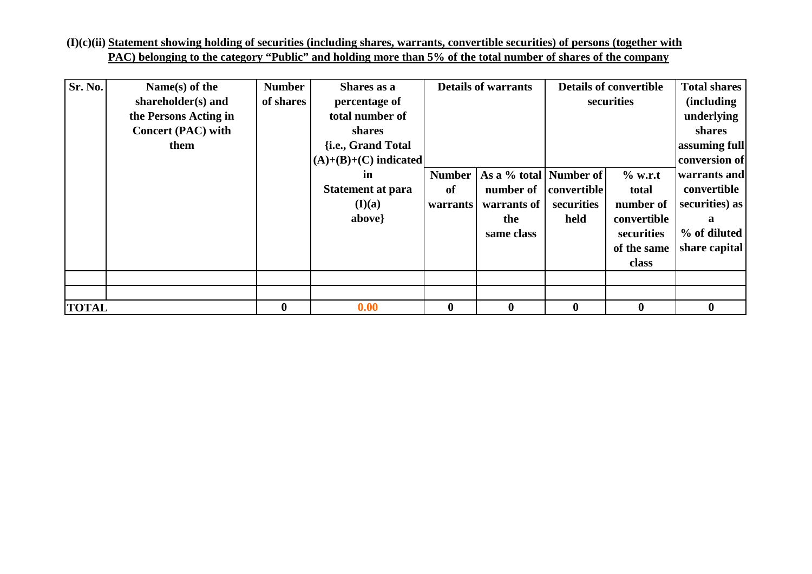**(I)(c)(ii) Statement showing holding of securities (including shares, warrants, convertible securities) of persons (together withPAC) belonging to the category "Public" and holding more than 5% of the total number of shares of the company**

| Sr. No.      | Name $(s)$ of the         | <b>Number</b> | Shares as a              |                  | <b>Details of warrants</b> | <b>Details of convertible</b> |             | <b>Total shares</b> |
|--------------|---------------------------|---------------|--------------------------|------------------|----------------------------|-------------------------------|-------------|---------------------|
|              | shareholder(s) and        | of shares     | percentage of            |                  |                            | securities                    |             | <i>(including)</i>  |
|              | the Persons Acting in     |               | total number of          |                  |                            |                               |             | underlying          |
|              | <b>Concert (PAC) with</b> |               | shares                   |                  |                            |                               |             | shares              |
|              | them                      |               | {i.e., Grand Total       |                  |                            |                               |             | assuming full       |
|              |                           |               | $(A)+(B)+(C)$ indicated  |                  |                            |                               |             | conversion of       |
|              |                           |               | in                       | <b>Number</b>    | As a % total   Number of   |                               | $%$ w.r.t   | warrants and        |
|              |                           |               | <b>Statement at para</b> | of               | number of                  | convertible                   | total       | convertible         |
|              |                           |               | (I)(a)                   | <b>warrants</b>  | warrants of                | securities                    | number of   | securities) as      |
|              |                           |               | above}                   |                  | the                        | held                          | convertible | a                   |
|              |                           |               |                          |                  | same class                 |                               | securities  | % of diluted        |
|              |                           |               |                          |                  |                            |                               | of the same | share capital       |
|              |                           |               |                          |                  |                            |                               | class       |                     |
|              |                           |               |                          |                  |                            |                               |             |                     |
|              |                           |               |                          |                  |                            |                               |             |                     |
| <b>TOTAL</b> |                           | $\bf{0}$      | 0.00                     | $\boldsymbol{0}$ | $\bf{0}$                   | $\bf{0}$                      | $\bf{0}$    | 0                   |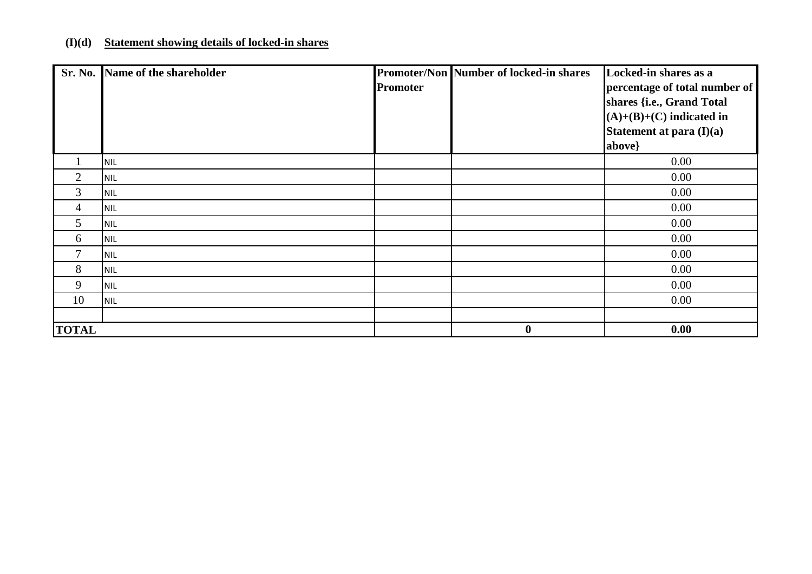## **(I)(d) Statement showing details of locked-in shares**

|                 | Sr. No. Name of the shareholder |          | <b>Promoter/Non Number of locked-in shares</b> | Locked-in shares as a         |
|-----------------|---------------------------------|----------|------------------------------------------------|-------------------------------|
|                 |                                 | Promoter |                                                | percentage of total number of |
|                 |                                 |          |                                                | shares {i.e., Grand Total     |
|                 |                                 |          |                                                | $(A)+(B)+(C)$ indicated in    |
|                 |                                 |          |                                                | Statement at para (I)(a)      |
|                 |                                 |          |                                                | above}                        |
|                 | <b>NIL</b>                      |          |                                                | 0.00                          |
| 2               | <b>NIL</b>                      |          |                                                | 0.00                          |
| 3               | <b>NIL</b>                      |          |                                                | 0.00                          |
| 4               | <b>NIL</b>                      |          |                                                | 0.00                          |
| $5\overline{)}$ | <b>NIL</b>                      |          |                                                | 0.00                          |
| 6               | <b>NIL</b>                      |          |                                                | 0.00                          |
| $\overline{7}$  | <b>NIL</b>                      |          |                                                | 0.00                          |
| 8               | <b>NIL</b>                      |          |                                                | 0.00                          |
| 9               | <b>NIL</b>                      |          |                                                | 0.00                          |
| 10              | <b>NIL</b>                      |          |                                                | 0.00                          |
|                 |                                 |          |                                                |                               |
| <b>TOTAL</b>    |                                 |          | $\boldsymbol{0}$                               | 0.00                          |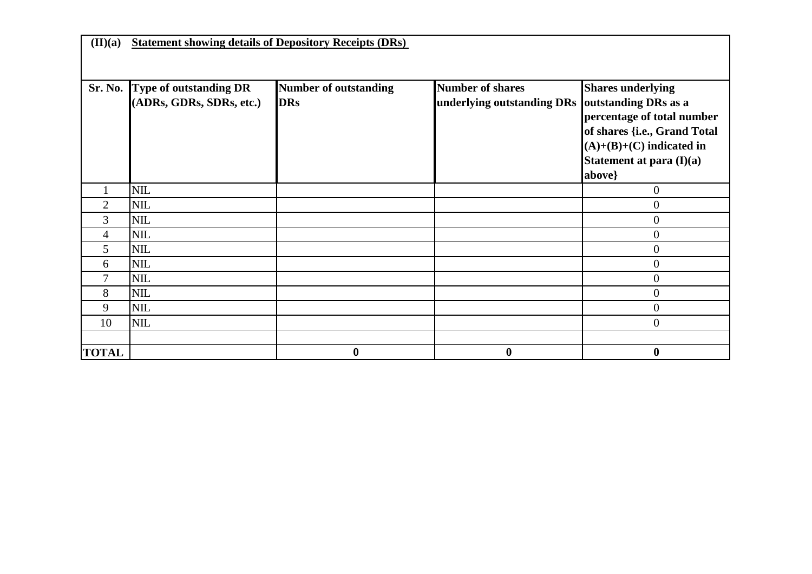**(II)(a)Statement showing details of Depository Receipts (DRs)** 

| Sr. No.        | <b>Type of outstanding DR</b> | <b>Number of outstanding</b> | <b>Number of shares</b>                         | <b>Shares underlying</b>     |
|----------------|-------------------------------|------------------------------|-------------------------------------------------|------------------------------|
|                | (ADRs, GDRs, SDRs, etc.)      | <b>DRs</b>                   | underlying outstanding DRs outstanding DRs as a |                              |
|                |                               |                              |                                                 | percentage of total number   |
|                |                               |                              |                                                 | of shares {i.e., Grand Total |
|                |                               |                              |                                                 | $(A)+(B)+(C)$ indicated in   |
|                |                               |                              |                                                 | Statement at para $(I)(a)$   |
|                |                               |                              |                                                 | above}                       |
|                | <b>NIL</b>                    |                              |                                                 | $\boldsymbol{0}$             |
| $\overline{2}$ | <b>NIL</b>                    |                              |                                                 | $\mathbf{0}$                 |
| 3              | <b>NIL</b>                    |                              |                                                 | $\boldsymbol{0}$             |
| 4              | <b>NIL</b>                    |                              |                                                 | $\overline{0}$               |
| 5              | <b>NIL</b>                    |                              |                                                 | $\boldsymbol{0}$             |
| 6              | <b>NIL</b>                    |                              |                                                 | $\boldsymbol{0}$             |
| $\mathcal{I}$  | <b>NIL</b>                    |                              |                                                 | $\boldsymbol{0}$             |
| 8              | <b>NIL</b>                    |                              |                                                 | $\mathbf{0}$                 |
| 9              | <b>NIL</b>                    |                              |                                                 | $\mathbf{0}$                 |
| 10             | <b>NIL</b>                    |                              |                                                 | $\overline{0}$               |
|                |                               |                              |                                                 |                              |
| <b>TOTAL</b>   |                               | $\boldsymbol{0}$             | $\bf{0}$                                        | $\bf{0}$                     |